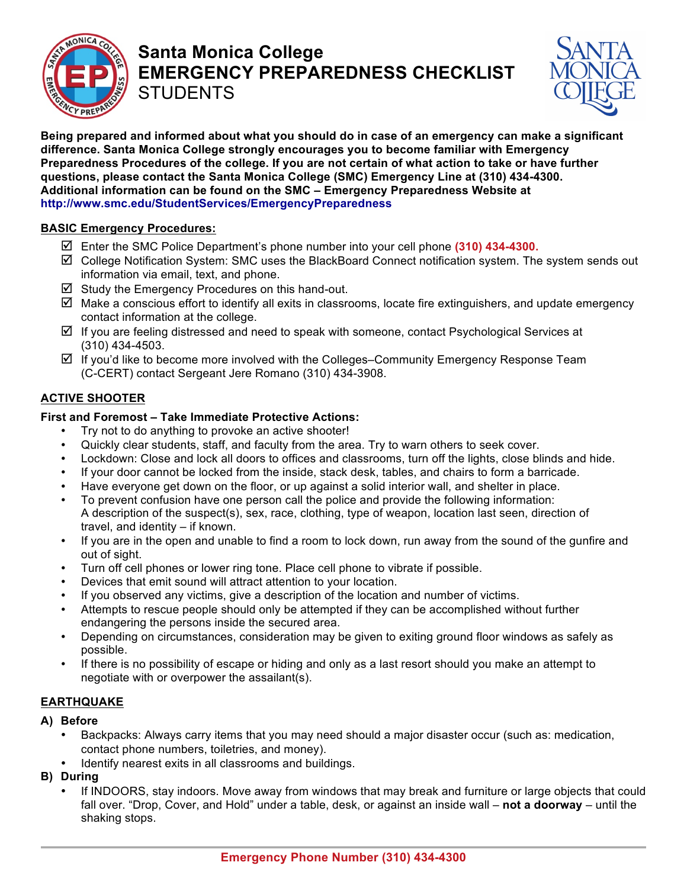

## **Santa Monica College EMERGENCY PREPAREDNESS CHECKLIST STUDENTS**



**Being prepared and informed about what you should do in case of an emergency can make a significant difference. Santa Monica College strongly encourages you to become familiar with Emergency Preparedness Procedures of the college. If you are not certain of what action to take or have further questions, please contact the Santa Monica College (SMC) Emergency Line at (310) 434-4300. Additional information can be found on the SMC – Emergency Preparedness Website at http://www.smc.edu/StudentServices/EmergencyPreparedness**

### **BASIC Emergency Procedures:**

- Enter the SMC Police Department's phone number into your cell phone **(310) 434-4300.**
- College Notification System: SMC uses the BlackBoard Connect notification system. The system sends out information via email, text, and phone.
- $\boxtimes$  Study the Emergency Procedures on this hand-out.
- $\boxtimes$  Make a conscious effort to identify all exits in classrooms, locate fire extinguishers, and update emergency contact information at the college.
- $\boxtimes$  If you are feeling distressed and need to speak with someone, contact Psychological Services at (310) 434-4503.
- $\boxtimes$  If you'd like to become more involved with the Colleges–Community Emergency Response Team (C-CERT) contact Sergeant Jere Romano (310) 434-3908.

## **ACTIVE SHOOTER**

#### **First and Foremost – Take Immediate Protective Actions:**

- Try not to do anything to provoke an active shooter!
- Quickly clear students, staff, and faculty from the area. Try to warn others to seek cover.
- Lockdown: Close and lock all doors to offices and classrooms, turn off the lights, close blinds and hide.
- If your door cannot be locked from the inside, stack desk, tables, and chairs to form a barricade.
- Have everyone get down on the floor, or up against a solid interior wall, and shelter in place.
- To prevent confusion have one person call the police and provide the following information: A description of the suspect(s), sex, race, clothing, type of weapon, location last seen, direction of travel, and identity – if known.
- If you are in the open and unable to find a room to lock down, run away from the sound of the gunfire and out of sight.
- Turn off cell phones or lower ring tone. Place cell phone to vibrate if possible.
- Devices that emit sound will attract attention to your location.
- If you observed any victims, give a description of the location and number of victims.
- Attempts to rescue people should only be attempted if they can be accomplished without further endangering the persons inside the secured area.
- Depending on circumstances, consideration may be given to exiting ground floor windows as safely as possible.
- If there is no possibility of escape or hiding and only as a last resort should you make an attempt to negotiate with or overpower the assailant(s).

## **EARTHQUAKE**

- **A) Before**
	- Backpacks: Always carry items that you may need should a major disaster occur (such as: medication, contact phone numbers, toiletries, and money).
	- Identify nearest exits in all classrooms and buildings.
- **B) During**
	- If INDOORS, stay indoors. Move away from windows that may break and furniture or large objects that could fall over. "Drop, Cover, and Hold" under a table, desk, or against an inside wall – **not a doorway** – until the shaking stops.